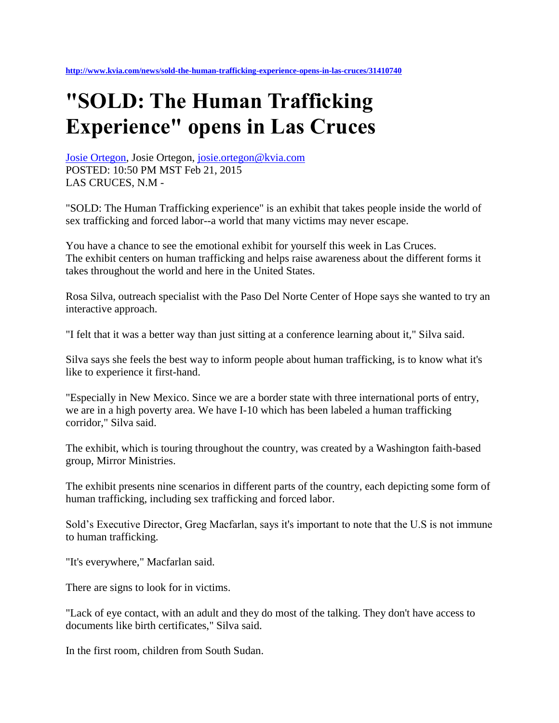## **"SOLD: The Human Trafficking Experience" opens in Las Cruces**

[Josie Ortegon,](http://www.kvia.com/Josie-Ortegon/24230492) Josie Ortegon, [josie.ortegon@kvia.com](mailto:josie.ortegon@kvia.com) POSTED: 10:50 PM MST Feb 21, 2015 LAS CRUCES, N.M -

"SOLD: The Human Trafficking experience" is an exhibit that takes people inside the world of sex trafficking and forced labor--a world that many victims may never escape.

You have a chance to see the emotional exhibit for yourself this week in Las Cruces. The exhibit centers on human trafficking and helps raise awareness about the different forms it takes throughout the world and here in the United States.

Rosa Silva, outreach specialist with the Paso Del Norte Center of Hope says she wanted to try an interactive approach.

"I felt that it was a better way than just sitting at a conference learning about it," Silva said.

Silva says she feels the best way to inform people about human trafficking, is to know what it's like to experience it first-hand.

"Especially in New Mexico. Since we are a border state with three international ports of entry, we are in a high poverty area. We have I-10 which has been labeled a human trafficking corridor," Silva said.

The exhibit, which is touring throughout the country, was created by a Washington faith-based group, Mirror Ministries.

The exhibit presents nine scenarios in different parts of the country, each depicting some form of human trafficking, including sex trafficking and forced labor.

Sold's Executive Director, Greg Macfarlan, says it's important to note that the U.S is not immune to human trafficking.

"It's everywhere," Macfarlan said.

There are signs to look for in victims.

"Lack of eye contact, with an adult and they do most of the talking. They don't have access to documents like birth certificates," Silva said.

In the first room, children from South Sudan.